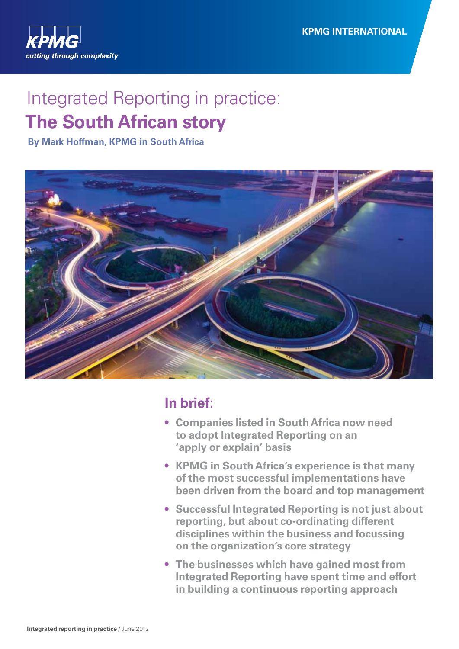

# Integrated Reporting in practice: **The South African story**

**By Mark Hoffman, KPMG in South Africa** 



## **In brief:**

- **• Companies listed in South Africa now need to adopt Integrated Reporting on an 'apply or explain' basis**
- **• KPMG in South Africa's experience is that many of the most successful implementations have been driven from the board and top management**
- **• Successful Integrated Reporting is not just about reporting, but about co-ordinating different disciplines within the business and focussing on the organization's core strategy**
- **• The businesses which have gained most from Integrated Reporting have spent time and effort in building a continuous reporting approach**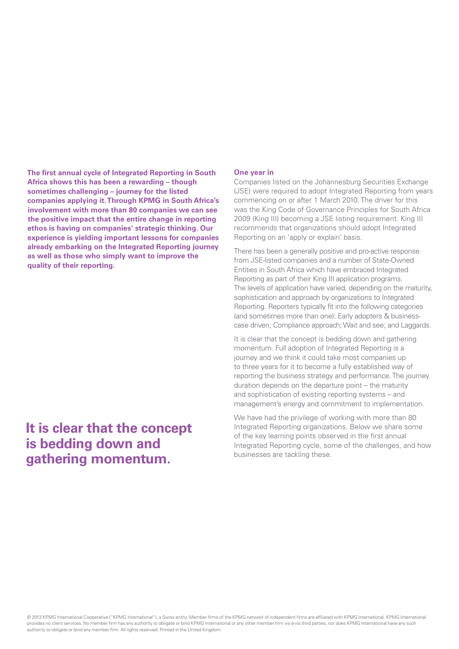**The first annual cycle of Integrated Reporting in South Africa shows this has been a rewarding – though sometimes challenging – journey for the listed companies applying it.Through KPMG in South Africa's involvement with more than 80 companies we can see the positive impact that the entire change in reporting ethos is having on companies' strategic thinking. Our experience is yielding important lessons for companies already embarking on the Integrated Reporting journey as well as those who simply want to improve the quality of their reporting.** 

## **It is clear that the concept is bedding down and gathering momentum.**

### **One year in**

Companies listed on the Johannesburg Securities Exchange (JSE) were required to adopt Integrated Reporting from years commencing on or after 1 March 2010. The driver for this was the King Code of Governance Principles for South Africa 2009 (King III) becoming a JSE listing requirement. King III recommends that organizations should adopt Integrated Reporting on an 'apply or explain' basis.

There has been a generally positive and pro-active response from JSE-listed companies and a number of State-Owned Entities in South Africa which have embraced Integrated Reporting as part of their King III application programs. The levels of application have varied, depending on the maturity, sophistication and approach by organizations to Integrated Reporting. Reporters typically fit into the following categories (and sometimes more than one): Early adopters & businesscase driven; Compliance approach; Wait and see; and Laggards.

It is clear that the concept is bedding down and gathering momentum. Full adoption of Integrated Reporting is a journey and we think it could take most companies up to three years for it to become a fully established way of reporting the business strategy and performance. The journey duration depends on the departure point – the maturity and sophistication of existing reporting systems – and management's energy and commitment to implementation.

We have had the privilege of working with more than 80 Integrated Reporting organizations. Below we share some of the key learning points observed in the first annual Integrated Reporting cycle, some of the challenges, and how businesses are tackling these.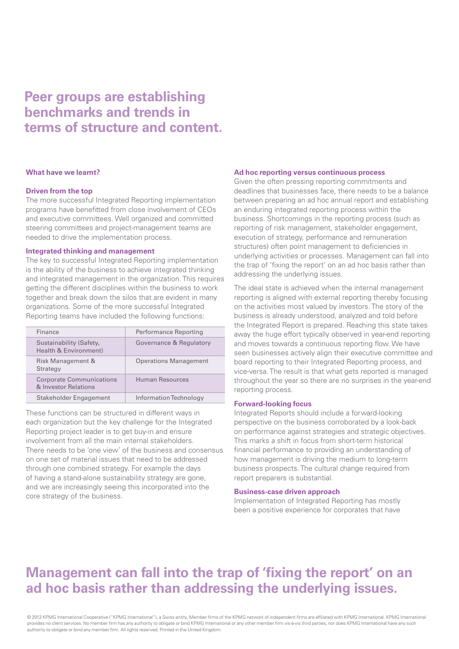## **Peer groups are establishing benchmarks and trends in terms of structure and content.**

#### **What have we learnt?**

### **Driven from the top**

The more successful Integrated Reporting implementation programs have benefitted from close involvement of CEOs and executive committees. Well organized and committed steering committees and project-management teams are needed to drive the implementation process.

## **Integrated thinking and management**

The key to successful Integrated Reporting implementation is the ability of the business to achieve integrated thinking and integrated management in the organization. This requires getting the different disciplines within the business to work together and break down the silos that are evident in many organizations. Some of the more successful Integrated Reporting teams have included the following functions:

| Finance                                                 | Performance Reporting        |
|---------------------------------------------------------|------------------------------|
| Sustainability (Safety,<br>Health & Environment)        | Governance & Regulatory      |
| Risk Management &<br>Strategy                           | <b>Operations Management</b> |
| <b>Corporate Communications</b><br>& Investor Relations | Human Resources              |
| Stakeholder Engagement                                  | Information Technology       |

These functions can be structured in different ways in each organization but the key challenge for the Integrated Reporting project leader is to get buy-in and ensure involvement from all the main internal stakeholders. There needs to be 'one view' of the business and consensus on one set of material issues that need to be addressed through one combined strategy. For example the days of having a stand-alone sustainability strategy are gone, and we are increasingly seeing this incorporated into the core strategy of the business.

## **Ad hoc reporting versus continuous process**

Given the often pressing reporting commitments and deadlines that businesses face, there needs to be a balance between preparing an ad hoc annual report and establishing an enduring integrated reporting process within the business. Shortcomings in the reporting process (such as reporting of risk management, stakeholder engagement, execution of strategy, performance and remuneration structures) often point management to deficiencies in underlying activities or processes. Management can fall into the trap of 'fixing the report' on an ad hoc basis rather than addressing the underlying issues.

The ideal state is achieved when the internal management reporting is aligned with external reporting thereby focusing on the activities most valued by investors. The story of the business is already understood, analyzed and told before the Integrated Report is prepared. Reaching this state takes away the huge effort typically observed in year-end reporting and moves towards a continuous reporting flow. We have seen businesses actively align their executive committee and board reporting to their Integrated Reporting process, and vice-versa. The result is that what gets reported is managed throughout the year so there are no surprises in the year-end reporting process.

### **Forward-looking focus**

Integrated Reports should include a forward-looking perspective on the business corroborated by a look-back on performance against strategies and strategic objectives. This marks a shift in focus from short-term historical financial performance to providing an understanding of how management is driving the medium to long-term business prospects. The cultural change required from report preparers is substantial.

### **Business-case driven approach**

Implementation of Integrated Reporting has mostly been a positive experience for corporates that have

## **Management can fall into the trap of 'fixing the report' on an ad hoc basis rather than addressing the underlying issues.**

© 2013 KPMG International Cooperative ("KPMG International"), a Swiss entity. Member firms of the KPMG network of independent firms are affiliated with KPMG International. KPMG International provides no client services. No member firm has any authority to obligate or bind KPMG International or any other member firm vis-à-vis third parties, nor does KPMG International have any such authority to obligate or bind any member firm. All rights reserved. Printed in the United Kingdom.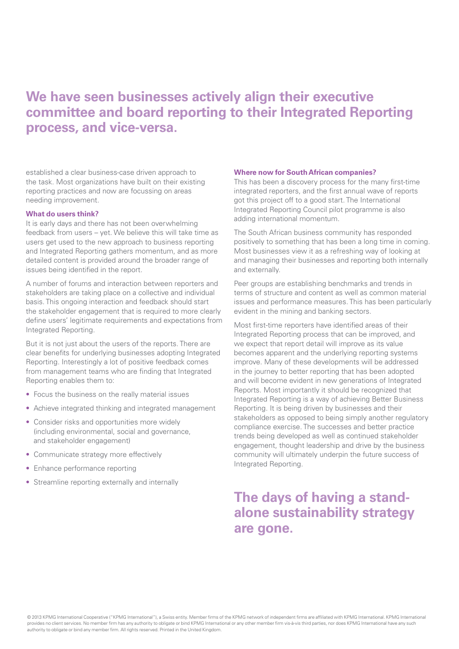## **We have seen businesses actively align their executive committee and board reporting to their Integrated Reporting process, and vice-versa.**

established a clear business-case driven approach to the task. Most organizations have built on their existing reporting practices and now are focussing on areas needing improvement.

## **What do users think?**

It is early days and there has not been overwhelming feedback from users – yet. We believe this will take time as users get used to the new approach to business reporting and Integrated Reporting gathers momentum, and as more detailed content is provided around the broader range of issues being identified in the report.

A number of forums and interaction between reporters and stakeholders are taking place on a collective and individual basis. This ongoing interaction and feedback should start the stakeholder engagement that is required to more clearly define users' legitimate requirements and expectations from Integrated Reporting.

But it is not just about the users of the reports. There are clear benefits for underlying businesses adopting Integrated Reporting. Interestingly a lot of positive feedback comes from management teams who are finding that Integrated Reporting enables them to:

- Focus the business on the really material issues
- Achieve integrated thinking and integrated management
- Consider risks and opportunities more widely (including environmental, social and governance, and stakeholder engagement)
- Communicate strategy more effectively
- Enhance performance reporting
- Streamline reporting externally and internally

## **Where now for South African companies?**

This has been a discovery process for the many first-time integrated reporters, and the first annual wave of reports got this project off to a good start. The International Integrated Reporting Council pilot programme is also adding international momentum.

The South African business community has responded positively to something that has been a long time in coming. Most businesses view it as a refreshing way of looking at and managing their businesses and reporting both internally and externally.

Peer groups are establishing benchmarks and trends in terms of structure and content as well as common material issues and performance measures. This has been particularly evident in the mining and banking sectors.

Most first-time reporters have identified areas of their Integrated Reporting process that can be improved, and we expect that report detail will improve as its value becomes apparent and the underlying reporting systems improve. Many of these developments will be addressed in the journey to better reporting that has been adopted and will become evident in new generations of Integrated Reports. Most importantly it should be recognized that Integrated Reporting is a way of achieving Better Business Reporting. It is being driven by businesses and their stakeholders as opposed to being simply another regulatory compliance exercise. The successes and better practice trends being developed as well as continued stakeholder engagement, thought leadership and drive by the business community will ultimately underpin the future success of Integrated Reporting.

## **The days of having a standalone sustainability strategy are gone.**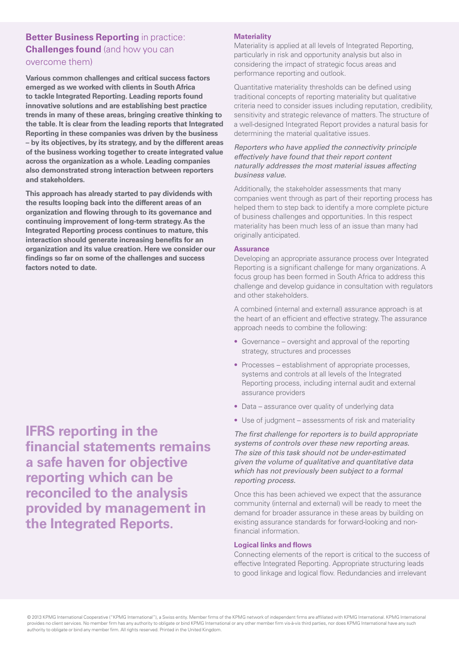## **Better Business Reporting** in practice: **Challenges found** (and how you can overcome them)

**Various common challenges and critical success factors emerged as we worked with clients in South Africa to tackle Integrated Reporting. Leading reports found innovative solutions and are establishing best practice trends in many of these areas, bringing creative thinking to the table. It is clear from the leading reports that Integrated Reporting in these companies was driven by the business – by its objectives, by its strategy, and by the different areas of the business working together to create integrated value across the organization as a whole. Leading companies also demonstrated strong interaction between reporters and stakeholders.** 

 **continuing improvement of long-term strategy. As the This approach has already started to pay dividends with the results looping back into the different areas of an organization and flowing through to its governance and Integrated Reporting process continues to mature, this interaction should generate increasing benefits for an organization and its value creation. Here we consider our findings so far on some of the challenges and success factors noted to date.** 

**IFRS reporting in the financial statements remains a safe haven for objective reporting which can be reconciled to the analysis provided by management in the Integrated Reports.** 

## **Materiality**

Materiality is applied at all levels of Integrated Reporting, particularly in risk and opportunity analysis but also in considering the impact of strategic focus areas and performance reporting and outlook.

Quantitative materiality thresholds can be defined using traditional concepts of reporting materiality but qualitative criteria need to consider issues including reputation, credibility, sensitivity and strategic relevance of matters. The structure of a well-designed Integrated Report provides a natural basis for determining the material qualitative issues.

## *Reporters who have applied the connectivity principle effectively have found that their report content naturally addresses the most material issues affecting business value.*

Additionally, the stakeholder assessments that many companies went through as part of their reporting process has helped them to step back to identify a more complete picture of business challenges and opportunities. In this respect materiality has been much less of an issue than many had originally anticipated.

## **Assurance**

Developing an appropriate assurance process over Integrated Reporting is a significant challenge for many organizations. A focus group has been formed in South Africa to address this challenge and develop guidance in consultation with regulators and other stakeholders.

A combined (internal and external) assurance approach is at the heart of an efficient and effective strategy. The assurance approach needs to combine the following:

- Governance oversight and approval of the reporting strategy, structures and processes
- Processes establishment of appropriate processes, systems and controls at all levels of the Integrated Reporting process, including internal audit and external assurance providers
- Data assurance over quality of underlying data
- Use of judgment assessments of risk and materiality

*The first challenge for reporters is to build appropriate systems of controls over these new reporting areas. The size of this task should not be under-estimated given the volume of qualitative and quantitative data which has not previously been subject to a formal reporting process.* 

Once this has been achieved we expect that the assurance community (internal and external) will be ready to meet the demand for broader assurance in these areas by building on existing assurance standards for forward-looking and nonfinancial information.

## **Logical links and flows**

Connecting elements of the report is critical to the success of effective Integrated Reporting. Appropriate structuring leads to good linkage and logical flow. Redundancies and irrelevant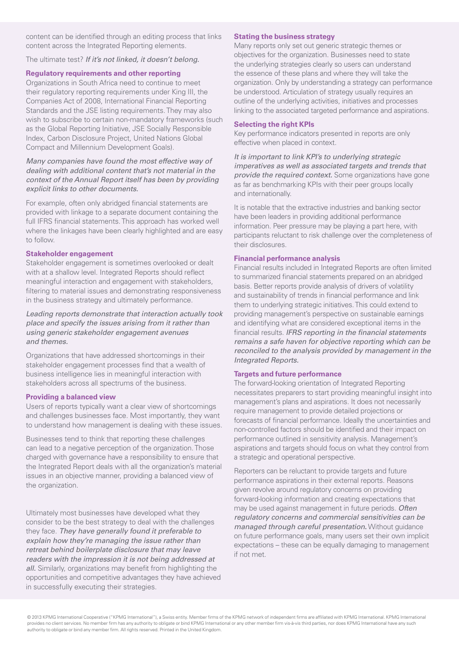content can be identified through an editing process that links content across the Integrated Reporting elements.

The ultimate test? *If it's not linked, it doesn't belong.* 

## **Regulatory requirements and other reporting**

Organizations in South Africa need to continue to meet their regulatory reporting requirements under King III, the Companies Act of 2008, International Financial Reporting Standards and the JSE listing requirements. They may also wish to subscribe to certain non-mandatory frameworks (such as the Global Reporting Initiative, JSE Socially Responsible Index, Carbon Disclosure Project, United Nations Global Compact and Millennium Development Goals).

## *Many companies have found the most effective way of dealing with additional content that's not material in the context of the Annual Report itself has been by providing explicit links to other documents.*

For example, often only abridged financial statements are provided with linkage to a separate document containing the full IFRS financial statements. This approach has worked well where the linkages have been clearly highlighted and are easy to follow.

## **Stakeholder engagement**

Stakeholder engagement is sometimes overlooked or dealt with at a shallow level. Integrated Reports should reflect meaningful interaction and engagement with stakeholders, filtering to material issues and demonstrating responsiveness in the business strategy and ultimately performance.

*Leading reports demonstrate that interaction actually took place and specify the issues arising from it rather than using generic stakeholder engagement avenues and themes.* 

Organizations that have addressed shortcomings in their stakeholder engagement processes find that a wealth of business intelligence lies in meaningful interaction with stakeholders across all spectrums of the business.

## **Providing a balanced view**

Users of reports typically want a clear view of shortcomings and challenges businesses face. Most importantly, they want to understand how management is dealing with these issues.

Businesses tend to think that reporting these challenges can lead to a negative perception of the organization. Those charged with governance have a responsibility to ensure that the Integrated Report deals with all the organization's material issues in an objective manner, providing a balanced view of the organization.

Ultimately most businesses have developed what they consider to be the best strategy to deal with the challenges they face. *They have generally found it preferable to explain how they're managing the issue rather than retreat behind boilerplate disclosure that may leave readers with the impression it is not being addressed at all.* Similarly, organizations may benefit from highlighting the opportunities and competitive advantages they have achieved in successfully executing their strategies.

## **Stating the business strategy**

Many reports only set out generic strategic themes or objectives for the organization. Businesses need to state the underlying strategies clearly so users can understand the essence of these plans and where they will take the organization. Only by understanding a strategy can performance be understood. Articulation of strategy usually requires an outline of the underlying activities, initiatives and processes linking to the associated targeted performance and aspirations.

## **Selecting the right KPIs**

Key performance indicators presented in reports are only effective when placed in context.

*It is important to link KPI's to underlying strategic imperatives as well as associated targets and trends that provide the required context.* Some organizations have gone as far as benchmarking KPIs with their peer groups locally and internationally.

It is notable that the extractive industries and banking sector have been leaders in providing additional performance information. Peer pressure may be playing a part here, with participants reluctant to risk challenge over the completeness of their disclosures.

## **Financial performance analysis**

Financial results included in Integrated Reports are often limited to summarized financial statements prepared on an abridged basis. Better reports provide analysis of drivers of volatility and sustainability of trends in financial performance and link them to underlying strategic initiatives. This could extend to providing management's perspective on sustainable earnings and identifying what are considered exceptional items in the financial results. *IFRS reporting in the financial statements remains a safe haven for objective reporting which can be reconciled to the analysis provided by management in the Integrated Reports.* 

## **Targets and future performance**

The forward-looking orientation of Integrated Reporting necessitates preparers to start providing meaningful insight into management's plans and aspirations. It does not necessarily require management to provide detailed projections or forecasts of financial performance. Ideally the uncertainties and non-controlled factors should be identified and their impact on performance outlined in sensitivity analysis. Management's aspirations and targets should focus on what they control from a strategic and operational perspective.

Reporters can be reluctant to provide targets and future performance aspirations in their external reports. Reasons given revolve around regulatory concerns on providing forward-looking information and creating expectations that may be used against management in future periods. *Often regulatory concerns and commercial sensitivities can be managed through careful presentation***.** Without guidance on future performance goals, many users set their own implicit expectations – these can be equally damaging to management if not met.

© 2013 KPMG International Cooperative ("KPMG International"), a Swiss entity. Member firms of the KPMG network of independent firms are affiliated with KPMG International. KPMG International provides no client services. No member firm has any authority to obligate or bind KPMG International or any other member firm vis-à-vis third parties, nor does KPMG International have any such authority to obligate or bind any member firm. All rights reserved. Printed in the United Kingdom.